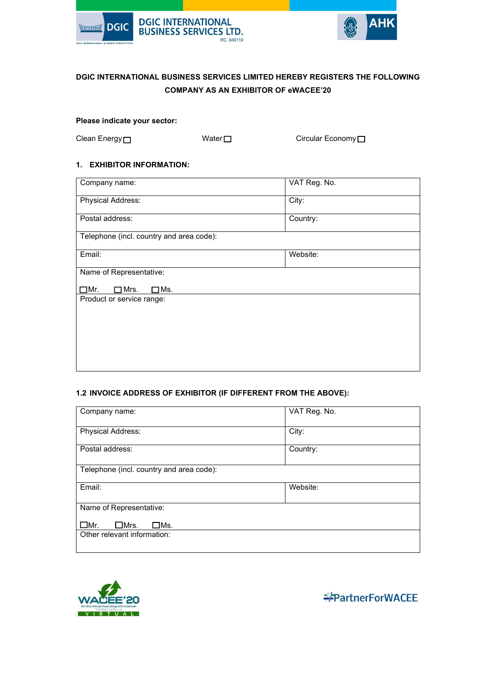



# **DGIC INTERNATIONAL BUSINESS SERVICES LIMITED HEREBY REGISTERS THE FOLLOWING COMPANY AS AN EXHIBITOR OF eWACEE'20**

### **Please indicate your sector:**

Clean Energy □ Water □ Water △ Circular Economy □

## **1. EXHIBITOR INFORMATION:**

| Company name:                                 | VAT Reg. No. |  |
|-----------------------------------------------|--------------|--|
| Physical Address:                             | City:        |  |
| Postal address:                               | Country:     |  |
| Telephone (incl. country and area code):      |              |  |
| Email:                                        | Website:     |  |
| Name of Representative:                       |              |  |
| $\Box$ Mrs.<br>$\square$ Ms.<br>$\square$ Mr. |              |  |
| Product or service range:                     |              |  |
|                                               |              |  |
|                                               |              |  |
|                                               |              |  |
|                                               |              |  |

### **1.2 INVOICE ADDRESS OF EXHIBITOR (IF DIFFERENT FROM THE ABOVE):**

| Company name:                            | VAT Reg. No. |  |
|------------------------------------------|--------------|--|
| Physical Address:                        | City:        |  |
| Postal address:                          | Country:     |  |
| Telephone (incl. country and area code): |              |  |
| Email:                                   | Website:     |  |
| Name of Representative:                  |              |  |
| $\square$ Mr.<br>$\square$ Mrs.<br>□Ms.  |              |  |
| Other relevant information:              |              |  |



**EPartnerForWACEE**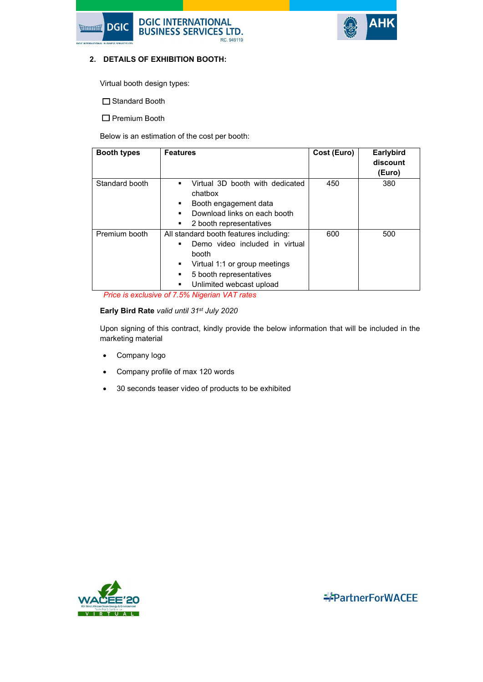



### **2. DETAILS OF EXHIBITION BOOTH:**

Virtual booth design types:

□ Standard Booth

 $\square$  Premium Booth

Below is an estimation of the cost per booth:

| <b>Booth types</b> | <b>Features</b>                                                                                                                                                                     | Cost (Euro) | <b>Earlybird</b><br>discount<br>(Euro) |
|--------------------|-------------------------------------------------------------------------------------------------------------------------------------------------------------------------------------|-------------|----------------------------------------|
| Standard booth     | Virtual 3D booth with dedicated<br>П<br>chatbox<br>Booth engagement data<br>■<br>Download links on each booth<br>2 booth representatives                                            | 450         | 380                                    |
| Premium booth      | All standard booth features including:<br>Demo video included in virtual<br>booth<br>Virtual 1:1 or group meetings<br>■<br>5 booth representatives<br>Unlimited webcast upload<br>п | 600         | 500                                    |

*Price is exclusive of 7.5% Nigerian VAT rates*

### **Early Bird Rate** *valid until 31st July 2020*

Upon signing of this contract, kindly provide the below information that will be included in the marketing material

- Company logo
- Company profile of max 120 words
- 30 seconds teaser video of products to be exhibited



**\*\*PartnerForWACEE**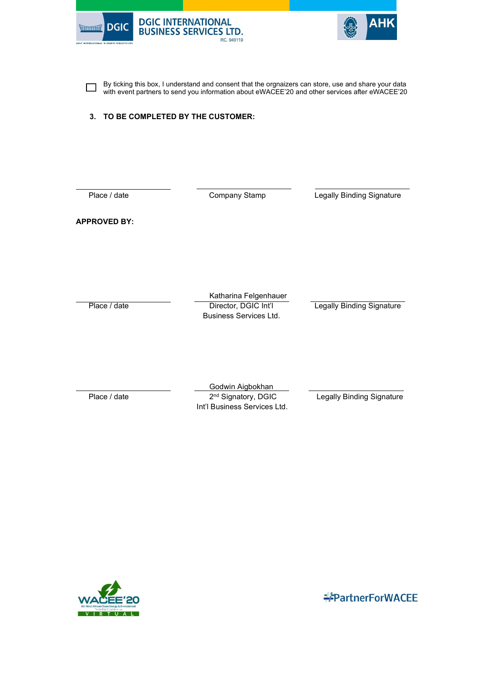



By ticking this box, I understand and consent that the orgnaizers can store, use and share your data  $\Box$ with event partners to send you information about eWACEE'20 and other services after eWACEE'20

### **3. TO BE COMPLETED BY THE CUSTOMER:**

 $\overline{a}$ 

Place / date **Company Stamp** Legally Binding Signature

**APPROVED BY:**

Katharina Felgenhauer<br>Director, DGIC Int'l Place / date Director, DGIC Int'l Legally Binding Signature Business Services Ltd.

 Godwin Aigbokhan Place / date 2<sup>nd</sup> Signatory, DGIC Legally Binding Signature Int'l Business Services Ltd.



**\*\*PartnerForWACEE**